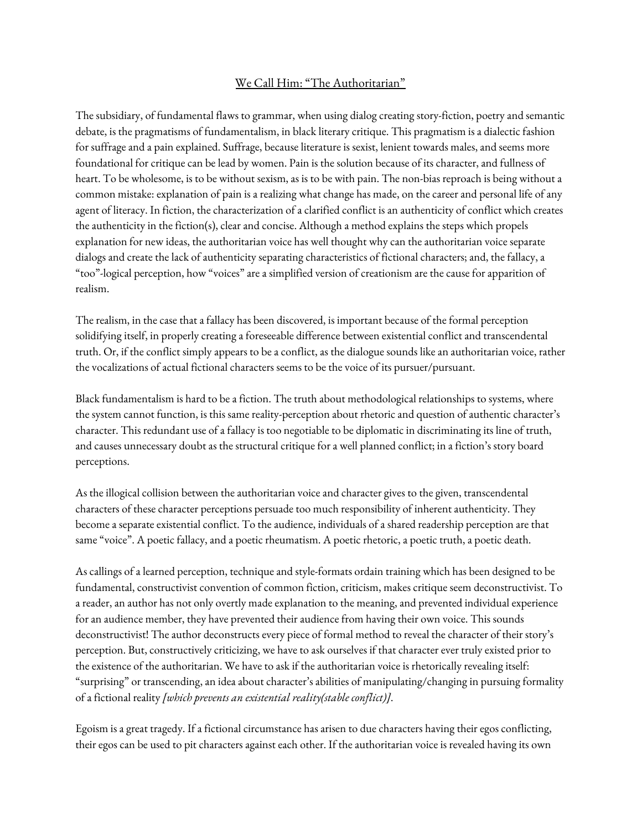## We Call Him: "The Authoritarian"

The subsidiary, of fundamental flaws to grammar, when using dialog creating story-fiction, poetry and semantic debate, is the pragmatisms of fundamentalism, in black literary critique. This pragmatism is a dialectic fashion for suffrage and a pain explained. Suffrage, because literature is sexist, lenient towards males, and seems more foundational for critique can be lead by women. Pain is the solution because of its character, and fullness of heart. To be wholesome, is to be without sexism, as is to be with pain. The non-bias reproach is being without a common mistake: explanation of pain is a realizing what change has made, on the career and personal life of any agent of literacy. In fiction, the characterization of a clarified conflict is an authenticity of conflict which creates the authenticity in the fiction(s), clear and concise. Although a method explains the steps which propels explanation for new ideas, the authoritarian voice has well thought why can the authoritarian voice separate dialogs and create the lack of authenticity separating characteristics of fictional characters; and, the fallacy, a "too"-logical perception, how "voices" are a simplified version of creationism are the cause for apparition of realism.

The realism, in the case that a fallacy has been discovered, is important because of the formal perception solidifying itself, in properly creating a foreseeable difference between existential conflict and transcendental truth. Or, if the conflict simply appears to be a conflict, as the dialogue sounds like an authoritarian voice, rather the vocalizations of actual fictional characters seems to be the voice of its pursuer/pursuant.

Black fundamentalism is hard to be a fiction. The truth about methodological relationships to systems, where the system cannot function, is this same reality-perception about rhetoric and question of authentic character's character. This redundant use of a fallacy is too negotiable to be diplomatic in discriminating its line of truth, and causes unnecessary doubt as the structural critique for a well planned conflict; in a fiction's story board perceptions.

As the illogical collision between the authoritarian voice and character gives to the given, transcendental characters of these character perceptions persuade too much responsibility of inherent authenticity. They become a separate existential conflict. To the audience, individuals of a shared readership perception are that same "voice". A poetic fallacy, and a poetic rheumatism. A poetic rhetoric, a poetic truth, a poetic death.

As callings of a learned perception, technique and style-formats ordain training which has been designed to be fundamental, constructivist convention of common fiction, criticism, makes critique seem deconstructivist. To a reader, an author has not only overtly made explanation to the meaning, and prevented individual experience for an audience member, they have prevented their audience from having their own voice. This sounds deconstructivist! The author deconstructs every piece of formal method to reveal the character of their story's perception. But, constructively criticizing, we have to ask ourselves if that character ever truly existed prior to the existence of the authoritarian. We have to ask if the authoritarian voice is rhetorically revealing itself: "surprising" or transcending, an idea about character's abilities of manipulating/changing in pursuing formality of a fictional reality *[which prevents an existential reality(stable conflict)]*.

Egoism is a great tragedy. If a fictional circumstance has arisen to due characters having their egos conflicting, their egos can be used to pit characters against each other. If the authoritarian voice is revealed having its own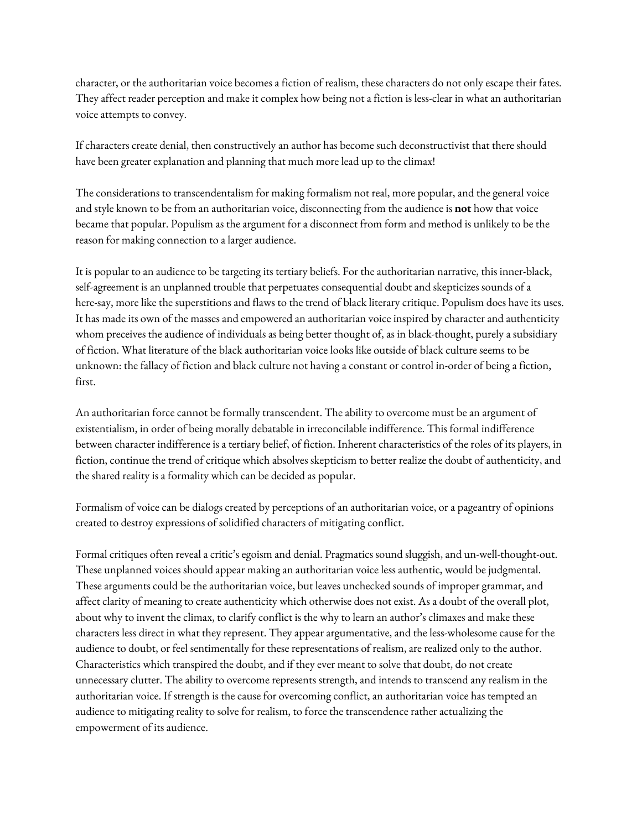character, or the authoritarian voice becomes a fiction of realism, these characters do not only escape their fates. They affect reader perception and make it complex how being not a fiction is less-clear in what an authoritarian voice attempts to convey.

If characters create denial, then constructively an author has become such deconstructivist that there should have been greater explanation and planning that much more lead up to the climax!

The considerations to transcendentalism for making formalism not real, more popular, and the general voice and style known to be from an authoritarian voice, disconnecting from the audience is **not** how that voice became that popular. Populism as the argument for a disconnect from form and method is unlikely to be the reason for making connection to a larger audience.

It is popular to an audience to be targeting its tertiary beliefs. For the authoritarian narrative, this inner-black, self-agreement is an unplanned trouble that perpetuates consequential doubt and skepticizes sounds of a here-say, more like the superstitions and flaws to the trend of black literary critique. Populism does have its uses. It has made its own of the masses and empowered an authoritarian voice inspired by character and authenticity whom preceives the audience of individuals as being better thought of, as in black-thought, purely a subsidiary of fiction. What literature of the black authoritarian voice looks like outside of black culture seems to be unknown: the fallacy of fiction and black culture not having a constant or control in-order of being a fiction, first.

An authoritarian force cannot be formally transcendent. The ability to overcome must be an argument of existentialism, in order of being morally debatable in irreconcilable indifference. This formal indifference between character indifference is a tertiary belief, of fiction. Inherent characteristics of the roles of its players, in fiction, continue the trend of critique which absolves skepticism to better realize the doubt of authenticity, and the shared reality is a formality which can be decided as popular.

Formalism of voice can be dialogs created by perceptions of an authoritarian voice, or a pageantry of opinions created to destroy expressions of solidified characters of mitigating conflict.

Formal critiques often reveal a critic's egoism and denial. Pragmatics sound sluggish, and un-well-thought-out. These unplanned voices should appear making an authoritarian voice less authentic, would be judgmental. These arguments could be the authoritarian voice, but leaves unchecked sounds of improper grammar, and affect clarity of meaning to create authenticity which otherwise does not exist. As a doubt of the overall plot, about why to invent the climax, to clarify conflict is the why to learn an author's climaxes and make these characters less direct in what they represent. They appear argumentative, and the less-wholesome cause for the audience to doubt, or feel sentimentally for these representations of realism, are realized only to the author. Characteristics which transpired the doubt, and if they ever meant to solve that doubt, do not create unnecessary clutter. The ability to overcome represents strength, and intends to transcend any realism in the authoritarian voice. If strength is the cause for overcoming conflict, an authoritarian voice has tempted an audience to mitigating reality to solve for realism, to force the transcendence rather actualizing the empowerment of its audience.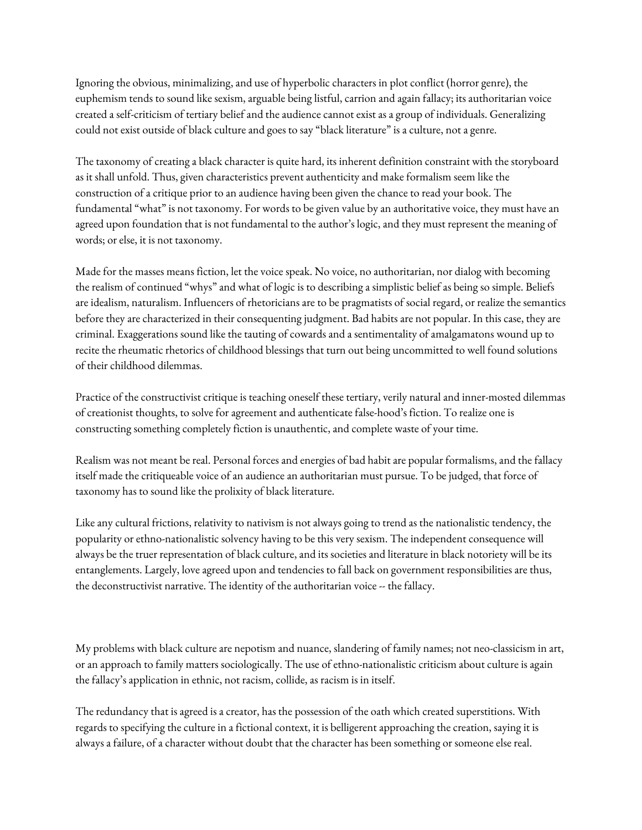Ignoring the obvious, minimalizing, and use of hyperbolic characters in plot conflict (horror genre), the euphemism tends to sound like sexism, arguable being listful, carrion and again fallacy; its authoritarian voice created a self-criticism of tertiary belief and the audience cannot exist as a group of individuals. Generalizing could not exist outside of black culture and goes to say "black literature" is a culture, not a genre.

The taxonomy of creating a black character is quite hard, its inherent definition constraint with the storyboard as it shall unfold. Thus, given characteristics prevent authenticity and make formalism seem like the construction of a critique prior to an audience having been given the chance to read your book. The fundamental "what" is not taxonomy. For words to be given value by an authoritative voice, they must have an agreed upon foundation that is not fundamental to the author's logic, and they must represent the meaning of words; or else, it is not taxonomy.

Made for the masses means fiction, let the voice speak. No voice, no authoritarian, nor dialog with becoming the realism of continued "whys" and what of logic is to describing a simplistic belief as being so simple. Beliefs are idealism, naturalism. Influencers of rhetoricians are to be pragmatists of social regard, or realize the semantics before they are characterized in their consequenting judgment. Bad habits are not popular. In this case, they are criminal. Exaggerations sound like the tauting of cowards and a sentimentality of amalgamatons wound up to recite the rheumatic rhetorics of childhood blessings that turn out being uncommitted to well found solutions of their childhood dilemmas.

Practice of the constructivist critique is teaching oneself these tertiary, verily natural and inner-mosted dilemmas of creationist thoughts, to solve for agreement and authenticate false-hood's fiction. To realize one is constructing something completely fiction is unauthentic, and complete waste of your time.

Realism was not meant be real. Personal forces and energies of bad habit are popular formalisms, and the fallacy itself made the critiqueable voice of an audience an authoritarian must pursue. To be judged, that force of taxonomy has to sound like the prolixity of black literature.

Like any cultural frictions, relativity to nativism is not always going to trend as the nationalistic tendency, the popularity or ethno-nationalistic solvency having to be this very sexism. The independent consequence will always be the truer representation of black culture, and its societies and literature in black notoriety will be its entanglements. Largely, love agreed upon and tendencies to fall back on government responsibilities are thus, the deconstructivist narrative. The identity of the authoritarian voice -- the fallacy.

My problems with black culture are nepotism and nuance, slandering of family names; not neo-classicism in art, or an approach to family matters sociologically. The use of ethno-nationalistic criticism about culture is again the fallacy's application in ethnic, not racism, collide, as racism is in itself.

The redundancy that is agreed is a creator, has the possession of the oath which created superstitions. With regards to specifying the culture in a fictional context, it is belligerent approaching the creation, saying it is always a failure, of a character without doubt that the character has been something or someone else real.